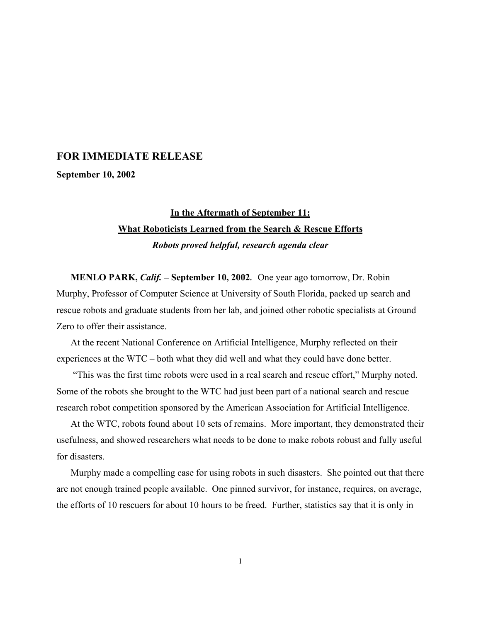## **FOR IMMEDIATE RELEASE**

**September 10, 2002**

## **In the Aftermath of September 11: What Roboticists Learned from the Search & Rescue Efforts** *Robots proved helpful, research agenda clear*

**MENLO PARK,** *Calif.* **– September 10, 2002.** One year ago tomorrow, Dr. Robin Murphy, Professor of Computer Science at University of South Florida, packed up search and rescue robots and graduate students from her lab, and joined other robotic specialists at Ground Zero to offer their assistance.

At the recent National Conference on Artificial Intelligence, Murphy reflected on their experiences at the WTC – both what they did well and what they could have done better.

 "This was the first time robots were used in a real search and rescue effort," Murphy noted. Some of the robots she brought to the WTC had just been part of a national search and rescue research robot competition sponsored by the American Association for Artificial Intelligence.

At the WTC, robots found about 10 sets of remains. More important, they demonstrated their usefulness, and showed researchers what needs to be done to make robots robust and fully useful for disasters.

Murphy made a compelling case for using robots in such disasters. She pointed out that there are not enough trained people available. One pinned survivor, for instance, requires, on average, the efforts of 10 rescuers for about 10 hours to be freed. Further, statistics say that it is only in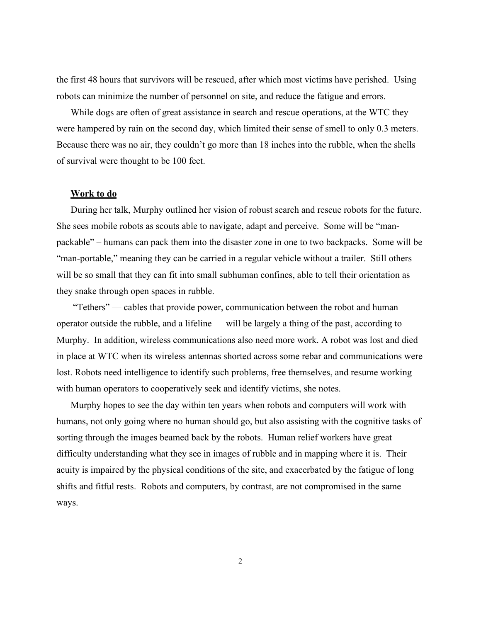the first 48 hours that survivors will be rescued, after which most victims have perished. Using robots can minimize the number of personnel on site, and reduce the fatigue and errors.

While dogs are often of great assistance in search and rescue operations, at the WTC they were hampered by rain on the second day, which limited their sense of smell to only 0.3 meters. Because there was no air, they couldn't go more than 18 inches into the rubble, when the shells of survival were thought to be 100 feet.

## **Work to do**

During her talk, Murphy outlined her vision of robust search and rescue robots for the future. She sees mobile robots as scouts able to navigate, adapt and perceive. Some will be "manpackable" – humans can pack them into the disaster zone in one to two backpacks. Some will be "man-portable," meaning they can be carried in a regular vehicle without a trailer. Still others will be so small that they can fit into small subhuman confines, able to tell their orientation as they snake through open spaces in rubble.

 "Tethers" — cables that provide power, communication between the robot and human operator outside the rubble, and a lifeline — will be largely a thing of the past, according to Murphy. In addition, wireless communications also need more work. A robot was lost and died in place at WTC when its wireless antennas shorted across some rebar and communications were lost. Robots need intelligence to identify such problems, free themselves, and resume working with human operators to cooperatively seek and identify victims, she notes.

Murphy hopes to see the day within ten years when robots and computers will work with humans, not only going where no human should go, but also assisting with the cognitive tasks of sorting through the images beamed back by the robots. Human relief workers have great difficulty understanding what they see in images of rubble and in mapping where it is. Their acuity is impaired by the physical conditions of the site, and exacerbated by the fatigue of long shifts and fitful rests. Robots and computers, by contrast, are not compromised in the same ways.

2